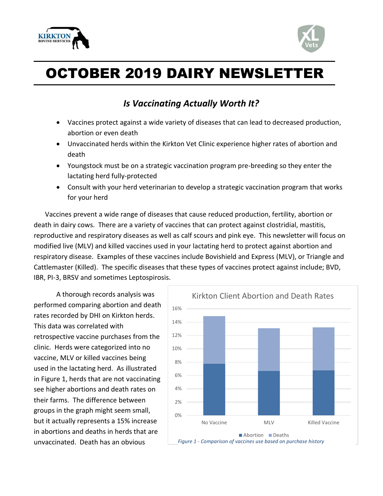



## OCTOBER 2019 DAIRY NEWSLETTER

## *Is Vaccinating Actually Worth It?*

- Vaccines protect against a wide variety of diseases that can lead to decreased production, abortion or even death
- Unvaccinated herds within the Kirkton Vet Clinic experience higher rates of abortion and death
- Youngstock must be on a strategic vaccination program pre-breeding so they enter the lactating herd fully-protected
- Consult with your herd veterinarian to develop a strategic vaccination program that works for your herd

Vaccines prevent a wide range of diseases that cause reduced production, fertility, abortion or death in dairy cows. There are a variety of vaccines that can protect against clostridial, mastitis, reproductive and respiratory diseases as well as calf scours and pink eye. This newsletter will focus on modified live (MLV) and killed vaccines used in your lactating herd to protect against abortion and respiratory disease. Examples of these vaccines include Bovishield and Express (MLV), or Triangle and Cattlemaster (Killed). The specific diseases that these types of vaccines protect against include; BVD, IBR, PI-3, BRSV and sometimes Leptospirosis.

A thorough records analysis was performed comparing abortion and death rates recorded by DHI on Kirkton herds. This data was correlated with retrospective vaccine purchases from the clinic. Herds were categorized into no vaccine, MLV or killed vaccines being used in the lactating herd. As illustrated in Figure 1, herds that are not vaccinating see higher abortions and death rates on their farms. The difference between groups in the graph might seem small, but it actually represents a 15% increase in abortions and deaths in herds that are unvaccinated. Death has an obvious